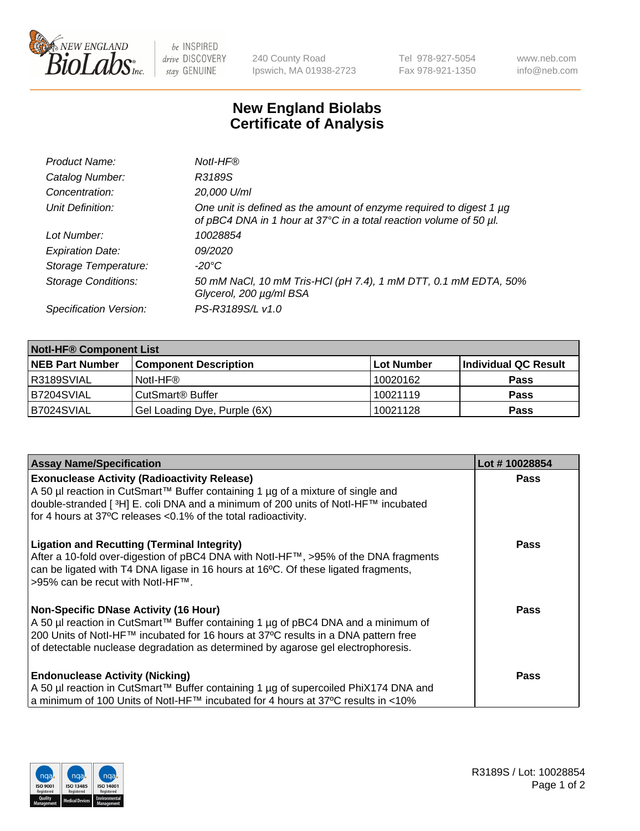

be INSPIRED drive DISCOVERY stay GENUINE

240 County Road Ipswich, MA 01938-2723 Tel 978-927-5054 Fax 978-921-1350 www.neb.com info@neb.com

## **New England Biolabs Certificate of Analysis**

| Product Name:              | Notl-HF®                                                                                                                                  |
|----------------------------|-------------------------------------------------------------------------------------------------------------------------------------------|
| Catalog Number:            | R3189S                                                                                                                                    |
| Concentration:             | 20,000 U/ml                                                                                                                               |
| Unit Definition:           | One unit is defined as the amount of enzyme required to digest 1 µg<br>of pBC4 DNA in 1 hour at 37°C in a total reaction volume of 50 µl. |
| Lot Number:                | 10028854                                                                                                                                  |
| <b>Expiration Date:</b>    | 09/2020                                                                                                                                   |
| Storage Temperature:       | -20°C                                                                                                                                     |
| <b>Storage Conditions:</b> | 50 mM NaCl, 10 mM Tris-HCl (pH 7.4), 1 mM DTT, 0.1 mM EDTA, 50%<br>Glycerol, 200 µg/ml BSA                                                |
| Specification Version:     | PS-R3189S/L v1.0                                                                                                                          |

| <b>Notl-HF® Component List</b> |                                    |                   |                      |  |
|--------------------------------|------------------------------------|-------------------|----------------------|--|
| <b>NEB Part Number</b>         | <b>Component Description</b>       | <b>Lot Number</b> | Individual QC Result |  |
| R3189SVIAL                     | Notl-HF®                           | 10020162          | <b>Pass</b>          |  |
| B7204SVIAL                     | <b>CutSmart<sup>®</sup> Buffer</b> | 10021119          | <b>Pass</b>          |  |
| B7024SVIAL                     | Gel Loading Dye, Purple (6X)       | 10021128          | <b>Pass</b>          |  |

| <b>Assay Name/Specification</b>                                                                | Lot #10028854 |
|------------------------------------------------------------------------------------------------|---------------|
| <b>Exonuclease Activity (Radioactivity Release)</b>                                            | <b>Pass</b>   |
| A 50 µl reaction in CutSmart™ Buffer containing 1 µg of a mixture of single and                |               |
| double-stranded [ <sup>3</sup> H] E. coli DNA and a minimum of 200 units of Notl-HF™ incubated |               |
| for 4 hours at 37°C releases <0.1% of the total radioactivity.                                 |               |
| <b>Ligation and Recutting (Terminal Integrity)</b>                                             | <b>Pass</b>   |
| After a 10-fold over-digestion of pBC4 DNA with Notl-HF™, >95% of the DNA fragments            |               |
| can be ligated with T4 DNA ligase in 16 hours at 16 $\degree$ C. Of these ligated fragments,   |               |
| 1>95% can be recut with NotI-HF™.                                                              |               |
| Non-Specific DNase Activity (16 Hour)                                                          | <b>Pass</b>   |
| A 50 µl reaction in CutSmart™ Buffer containing 1 µg of pBC4 DNA and a minimum of              |               |
| 200 Units of Notl-HF™ incubated for 16 hours at 37°C results in a DNA pattern free             |               |
| of detectable nuclease degradation as determined by agarose gel electrophoresis.               |               |
| <b>Endonuclease Activity (Nicking)</b>                                                         | <b>Pass</b>   |
| A 50 µl reaction in CutSmart™ Buffer containing 1 µg of supercoiled PhiX174 DNA and            |               |
| a minimum of 100 Units of Notl-HF™ incubated for 4 hours at 37°C results in <10%               |               |